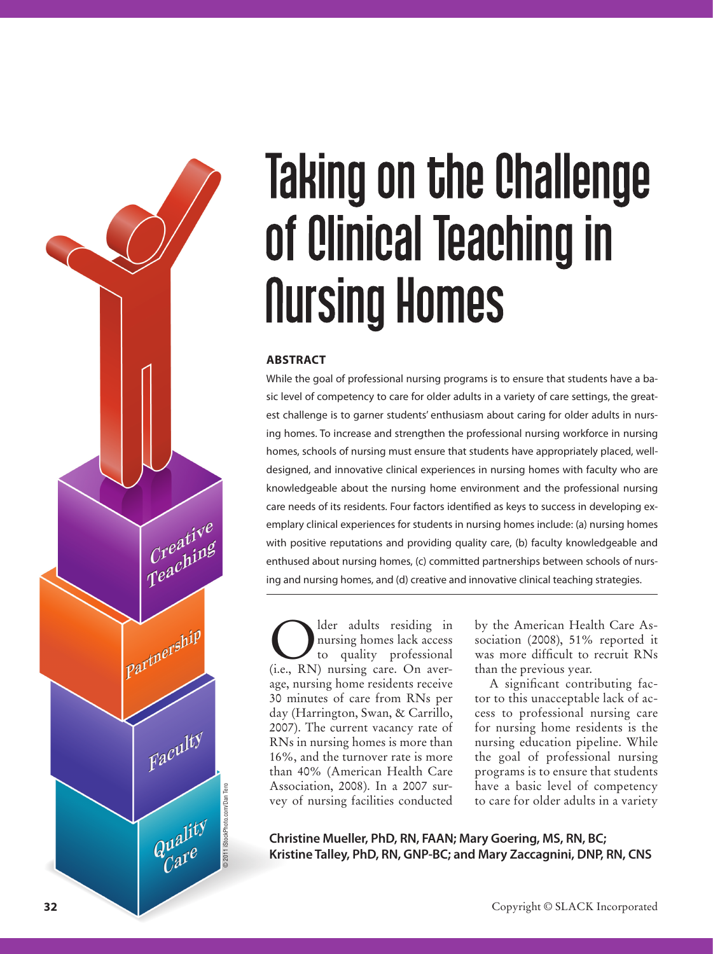

# **Taking on the Challenge** of Clinical Teaching in **Nursing Homes**

# **ABSTRACT**

While the goal of professional nursing programs is to ensure that students have a ba sic level of competency to care for older adults in a variety of care settings, the great est challenge is to garner students' enthusiasm about caring for older adults in nurs ing homes. To increase and strengthen the professional nursing workforce in nursing homes, schools of nursing must ensure that students have appropriately placed, welldesigned, and innovative clinical experiences in nursing homes with faculty who are knowledgeable about the nursing home environment and the professional nursing care needs of its residents. Four factors identified as keys to success in developing ex emplary clinical experiences for students in nursing homes include: (a) nursing homes with positive reputations and providing quality care, (b) faculty knowledgeable and enthused about nursing homes, (c) committed partnerships between schools of nurs ing and nursing homes, and (d) creative and innovative clinical teaching strategies.

Older adults residing in<br>to quality professional<br>(i.e., RN) pursing care On were nursing homes lack access to quality professional (i.e., RN) nursing care. On aver age, nursing home residents receive 30 minutes of care from RNs per day (Harrington, Swan, & Carrillo, 2007). The current vacancy rate of RNs in nursing homes is more than 16%, and the turnover rate is more than 40% (American Health Care Association, 2008). In a 2007 sur vey of nursing facilities conducted

by the American Health Care As sociation (2008), 51% reported it was more difficult to recruit RNs than the previous year.

A significant contributing fac tor to this unacceptable lack of ac cess to professional nursing care for nursing home residents is the nursing education pipeline. While the goal of professional nursing programs is to ensure that students have a basic level of competency to care for older adults in a variety

**Christine Mueller, PhD, RN, FAAN; Mary Goering, MS, RN, BC; Kristine Talley, PhD, RN, GNP-BC; and Mary Zaccagnini, DNP, RN, CNS**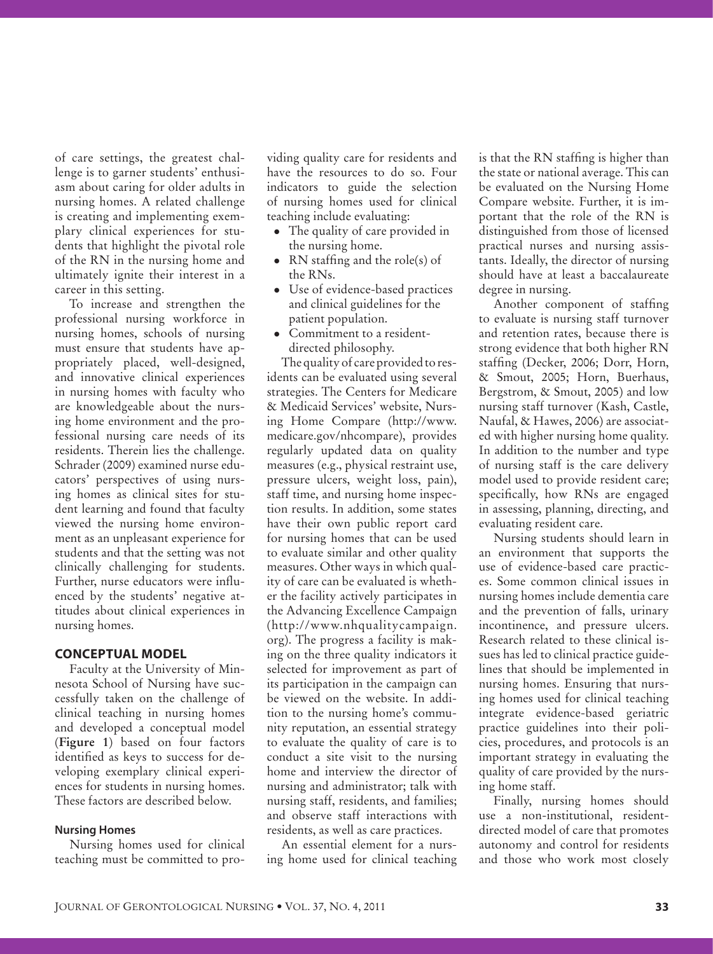of care settings, the greatest challenge is to garner students' enthusiasm about caring for older adults in nursing homes. A related challenge is creating and implementing exemplary clinical experiences for students that highlight the pivotal role of the RN in the nursing home and ultimately ignite their interest in a career in this setting.

To increase and strengthen the professional nursing workforce in nursing homes, schools of nursing must ensure that students have appropriately placed, well-designed, and innovative clinical experiences in nursing homes with faculty who are knowledgeable about the nursing home environment and the professional nursing care needs of its residents. Therein lies the challenge. Schrader (2009) examined nurse educators' perspectives of using nursing homes as clinical sites for student learning and found that faculty viewed the nursing home environment as an unpleasant experience for students and that the setting was not clinically challenging for students. Further, nurse educators were influenced by the students' negative attitudes about clinical experiences in nursing homes.

# **Conceptual Model**

Faculty at the University of Minnesota School of Nursing have successfully taken on the challenge of clinical teaching in nursing homes and developed a conceptual model (**Figure 1**) based on four factors identified as keys to success for developing exemplary clinical experiences for students in nursing homes. These factors are described below.

## **Nursing Homes**

Nursing homes used for clinical teaching must be committed to pro-

viding quality care for residents and have the resources to do so. Four indicators to guide the selection of nursing homes used for clinical teaching include evaluating:

- The quality of care provided in the nursing home.
- RN staffing and the role(s) of the RNs.
- Use of evidence-based practices and clinical guidelines for the patient population.
- Commitment to a residentdirected philosophy.

The quality of care provided to residents can be evaluated using several strategies. The Centers for Medicare & Medicaid Services' website, Nursing Home Compare (http://www. medicare.gov/nhcompare), provides regularly updated data on quality measures (e.g., physical restraint use, pressure ulcers, weight loss, pain), staff time, and nursing home inspection results. In addition, some states have their own public report card for nursing homes that can be used to evaluate similar and other quality measures. Other ways in which quality of care can be evaluated is whether the facility actively participates in the Advancing Excellence Campaign (http://www.nhqualitycampaign. org). The progress a facility is making on the three quality indicators it selected for improvement as part of its participation in the campaign can be viewed on the website. In addition to the nursing home's community reputation, an essential strategy to evaluate the quality of care is to conduct a site visit to the nursing home and interview the director of nursing and administrator; talk with nursing staff, residents, and families; and observe staff interactions with residents, as well as care practices.

An essential element for a nursing home used for clinical teaching is that the RN staffing is higher than the state or national average. This can be evaluated on the Nursing Home Compare website. Further, it is important that the role of the RN is distinguished from those of licensed practical nurses and nursing assistants. Ideally, the director of nursing should have at least a baccalaureate degree in nursing.

Another component of staffing to evaluate is nursing staff turnover and retention rates, because there is strong evidence that both higher RN staffing (Decker, 2006; Dorr, Horn, & Smout, 2005; Horn, Buerhaus, Bergstrom, & Smout, 2005) and low nursing staff turnover (Kash, Castle, Naufal, & Hawes, 2006) are associated with higher nursing home quality. In addition to the number and type of nursing staff is the care delivery model used to provide resident care; specifically, how RNs are engaged in assessing, planning, directing, and evaluating resident care.

Nursing students should learn in an environment that supports the use of evidence-based care practices. Some common clinical issues in nursing homes include dementia care and the prevention of falls, urinary incontinence, and pressure ulcers. Research related to these clinical issues has led to clinical practice guidelines that should be implemented in nursing homes. Ensuring that nursing homes used for clinical teaching integrate evidence-based geriatric practice guidelines into their policies, procedures, and protocols is an important strategy in evaluating the quality of care provided by the nursing home staff.

Finally, nursing homes should use a non-institutional, residentdirected model of care that promotes autonomy and control for residents and those who work most closely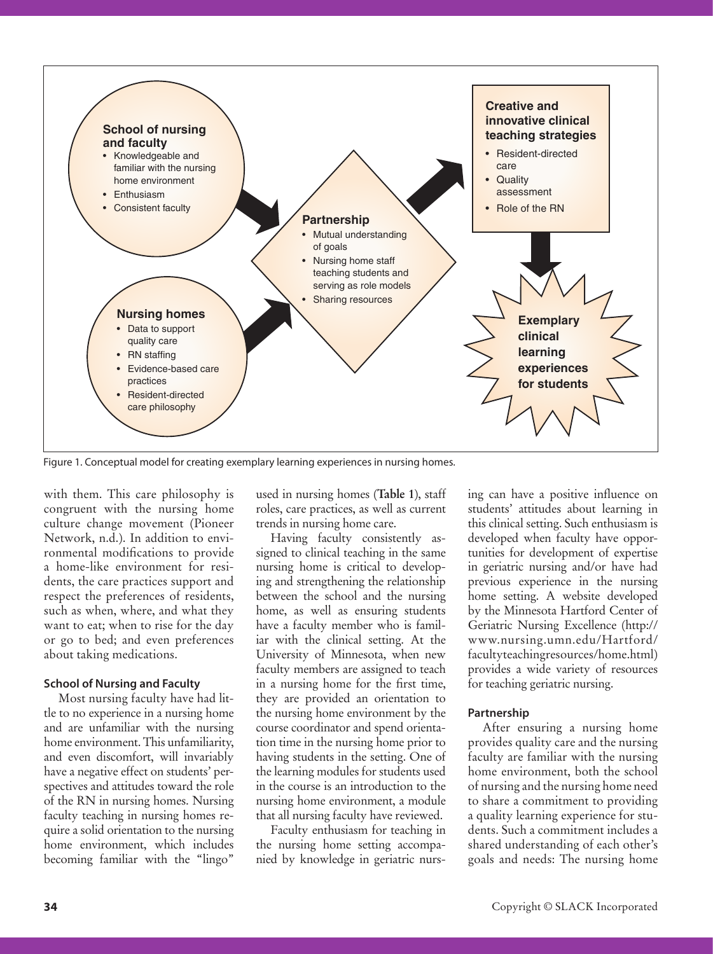

Figure 1. Conceptual model for creating exemplary learning experiences in nursing homes.

with them. This care philosophy is congruent with the nursing home culture change movement (Pioneer Network, n.d.). In addition to environmental modifications to provide a home-like environment for residents, the care practices support and respect the preferences of residents, such as when, where, and what they want to eat; when to rise for the day or go to bed; and even preferences about taking medications.

# **School of Nursing and Faculty**

Most nursing faculty have had little to no experience in a nursing home and are unfamiliar with the nursing home environment. This unfamiliarity, and even discomfort, will invariably have a negative effect on students' perspectives and attitudes toward the role of the RN in nursing homes. Nursing faculty teaching in nursing homes require a solid orientation to the nursing home environment, which includes becoming familiar with the "lingo"

used in nursing homes (**Table 1**), staff roles, care practices, as well as current trends in nursing home care.

Having faculty consistently assigned to clinical teaching in the same nursing home is critical to developing and strengthening the relationship between the school and the nursing home, as well as ensuring students have a faculty member who is familiar with the clinical setting. At the University of Minnesota, when new faculty members are assigned to teach in a nursing home for the first time, they are provided an orientation to the nursing home environment by the course coordinator and spend orientation time in the nursing home prior to having students in the setting. One of the learning modules for students used in the course is an introduction to the nursing home environment, a module that all nursing faculty have reviewed.

Faculty enthusiasm for teaching in the nursing home setting accompanied by knowledge in geriatric nursing can have a positive influence on students' attitudes about learning in this clinical setting. Such enthusiasm is developed when faculty have opportunities for development of expertise in geriatric nursing and/or have had previous experience in the nursing home setting. A website developed by the Minnesota Hartford Center of Geriatric Nursing Excellence (http:// www.nursing.umn.edu/Hartford/ facultyteachingresources/home.html) provides a wide variety of resources for teaching geriatric nursing.

## **Partnership**

After ensuring a nursing home provides quality care and the nursing faculty are familiar with the nursing home environment, both the school of nursing and the nursing home need to share a commitment to providing a quality learning experience for students. Such a commitment includes a shared understanding of each other's goals and needs: The nursing home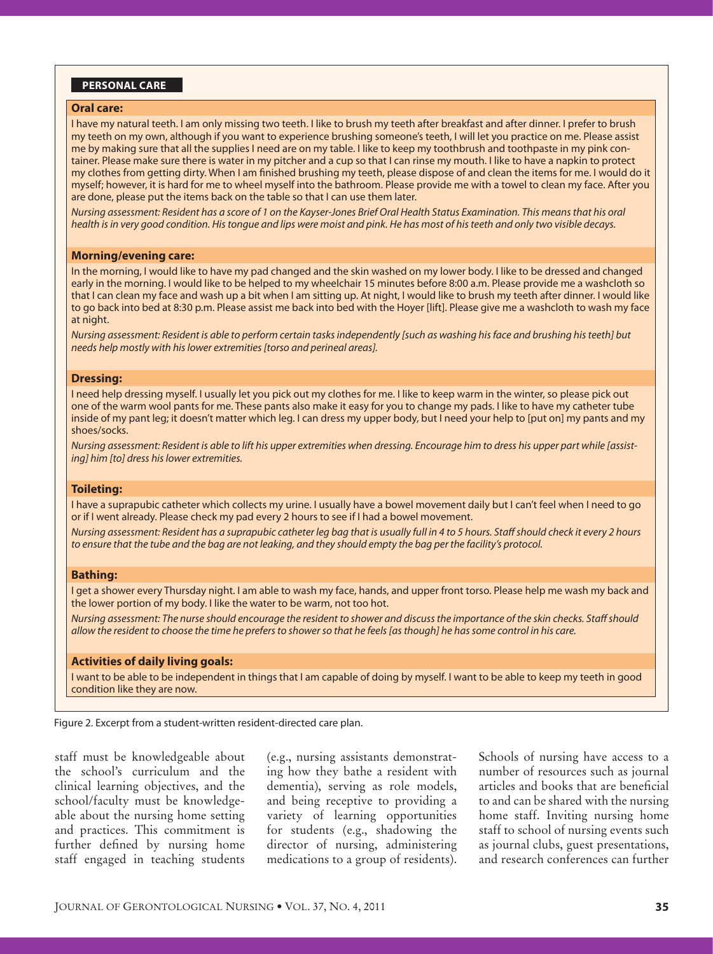# **PERSONAL CARE**

## **Oral care:**

I have my natural teeth. I am only missing two teeth. I like to brush my teeth after breakfast and after dinner. I prefer to brush my teeth on my own, although if you want to experience brushing someone's teeth, I will let you practice on me. Please assist me by making sure that all the supplies I need are on my table. I like to keep my toothbrush and toothpaste in my pink container. Please make sure there is water in my pitcher and a cup so that I can rinse my mouth. I like to have a napkin to protect my clothes from getting dirty. When I am finished brushing my teeth, please dispose of and clean the items for me. I would do it myself; however, it is hard for me to wheel myself into the bathroom. Please provide me with a towel to clean my face. After you are done, please put the items back on the table so that I can use them later.

*Nursing assessment: Resident has a score of 1 on the Kayser-Jones Brief Oral Health Status Examination. This means that his oral health is in very good condition. His tongue and lips were moist and pink. He has most of his teeth and only two visible decays.*

#### **Morning/evening care:**

In the morning, I would like to have my pad changed and the skin washed on my lower body. I like to be dressed and changed early in the morning. I would like to be helped to my wheelchair 15 minutes before 8:00 a.m. Please provide me a washcloth so that I can clean my face and wash up a bit when I am sitting up. At night, I would like to brush my teeth after dinner. I would like to go back into bed at 8:30 p.m. Please assist me back into bed with the Hoyer [lift]. Please give me a washcloth to wash my face at night.

*Nursing assessment: Resident is able to perform certain tasks independently [such as washing his face and brushing his teeth] but needs help mostly with his lower extremities [torso and perineal areas].*

## **Dressing:**

I need help dressing myself. I usually let you pick out my clothes for me. I like to keep warm in the winter, so please pick out one of the warm wool pants for me. These pants also make it easy for you to change my pads. I like to have my catheter tube inside of my pant leg; it doesn't matter which leg. I can dress my upper body, but I need your help to [put on] my pants and my shoes/socks.

*Nursing assessment: Resident is able to lift his upper extremities when dressing. Encourage him to dress his upper part while [assisting] him [to] dress his lower extremities.*

#### **Toileting:**

I have a suprapubic catheter which collects my urine. I usually have a bowel movement daily but I can't feel when I need to go or if I went already. Please check my pad every 2 hours to see if I had a bowel movement.

*Nursing assessment: Resident has a suprapubic catheter leg bag that is usually full in 4 to 5 hours. Staff should check it every 2 hours to ensure that the tube and the bag are not leaking, and they should empty the bag per the facility's protocol.*

#### **Bathing:**

I get a shower every Thursday night. I am able to wash my face, hands, and upper front torso. Please help me wash my back and the lower portion of my body. I like the water to be warm, not too hot.

*Nursing assessment: The nurse should encourage the resident to shower and discuss the importance of the skin checks. Staff should allow the resident to choose the time he prefers to shower so that he feels [as though] he has some control in his care.*

#### **Activities of daily living goals:**

I want to be able to be independent in things that I am capable of doing by myself. I want to be able to keep my teeth in good condition like they are now.

Figure 2. Excerpt from a student-written resident-directed care plan.

staff must be knowledgeable about the school's curriculum and the clinical learning objectives, and the school/faculty must be knowledgeable about the nursing home setting and practices. This commitment is further defined by nursing home staff engaged in teaching students

(e.g., nursing assistants demonstrating how they bathe a resident with dementia), serving as role models, and being receptive to providing a variety of learning opportunities for students (e.g., shadowing the director of nursing, administering medications to a group of residents). Schools of nursing have access to a number of resources such as journal articles and books that are beneficial to and can be shared with the nursing home staff. Inviting nursing home staff to school of nursing events such as journal clubs, guest presentations, and research conferences can further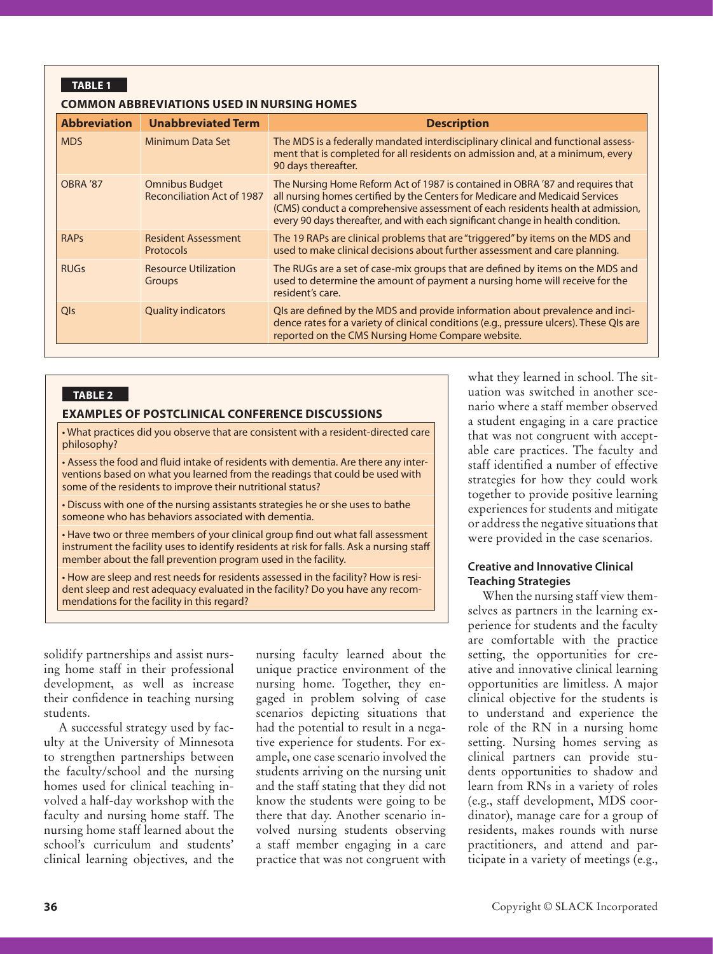# **Table 1**

# **Common Abbreviations used in nursing homes**

| <b>Abbreviation</b> | <b>Unabbreviated Term</b>                           | <b>Description</b>                                                                                                                                                                                                                                                                                                                    |
|---------------------|-----------------------------------------------------|---------------------------------------------------------------------------------------------------------------------------------------------------------------------------------------------------------------------------------------------------------------------------------------------------------------------------------------|
| <b>MDS</b>          | Minimum Data Set                                    | The MDS is a federally mandated interdisciplinary clinical and functional assess-<br>ment that is completed for all residents on admission and, at a minimum, every<br>90 days thereafter.                                                                                                                                            |
| OBRA '87            | <b>Omnibus Budget</b><br>Reconciliation Act of 1987 | The Nursing Home Reform Act of 1987 is contained in OBRA '87 and requires that<br>all nursing homes certified by the Centers for Medicare and Medicaid Services<br>(CMS) conduct a comprehensive assessment of each residents health at admission,<br>every 90 days thereafter, and with each significant change in health condition. |
| <b>RAPS</b>         | <b>Resident Assessment</b><br><b>Protocols</b>      | The 19 RAPs are clinical problems that are "triggered" by items on the MDS and<br>used to make clinical decisions about further assessment and care planning.                                                                                                                                                                         |
| <b>RUGs</b>         | <b>Resource Utilization</b><br>Groups               | The RUGs are a set of case-mix groups that are defined by items on the MDS and<br>used to determine the amount of payment a nursing home will receive for the<br>resident's care.                                                                                                                                                     |
| Ols                 | <b>Quality indicators</b>                           | QIs are defined by the MDS and provide information about prevalence and inci-<br>dence rates for a variety of clinical conditions (e.g., pressure ulcers). These QIs are<br>reported on the CMS Nursing Home Compare website.                                                                                                         |

# **Table 2**

## **Examples of Postclinical Conference Discussions**

• What practices did you observe that are consistent with a resident-directed care philosophy?

• Assess the food and fluid intake of residents with dementia. Are there any interventions based on what you learned from the readings that could be used with some of the residents to improve their nutritional status?

• Discuss with one of the nursing assistants strategies he or she uses to bathe someone who has behaviors associated with dementia.

• Have two or three members of your clinical group find out what fall assessment instrument the facility uses to identify residents at risk for falls. Ask a nursing staff member about the fall prevention program used in the facility.

• How are sleep and rest needs for residents assessed in the facility? How is resident sleep and rest adequacy evaluated in the facility? Do you have any recommendations for the facility in this regard?

solidify partnerships and assist nursing home staff in their professional development, as well as increase their confidence in teaching nursing students.

A successful strategy used by faculty at the University of Minnesota to strengthen partnerships between the faculty/school and the nursing homes used for clinical teaching involved a half-day workshop with the faculty and nursing home staff. The nursing home staff learned about the school's curriculum and students' clinical learning objectives, and the nursing faculty learned about the unique practice environment of the nursing home. Together, they engaged in problem solving of case scenarios depicting situations that had the potential to result in a negative experience for students. For example, one case scenario involved the students arriving on the nursing unit and the staff stating that they did not know the students were going to be there that day. Another scenario involved nursing students observing a staff member engaging in a care practice that was not congruent with

what they learned in school. The situation was switched in another scenario where a staff member observed a student engaging in a care practice that was not congruent with acceptable care practices. The faculty and staff identified a number of effective strategies for how they could work together to provide positive learning experiences for students and mitigate or address the negative situations that were provided in the case scenarios.

# **Creative and Innovative Clinical Teaching Strategies**

When the nursing staff view themselves as partners in the learning experience for students and the faculty are comfortable with the practice setting, the opportunities for creative and innovative clinical learning opportunities are limitless. A major clinical objective for the students is to understand and experience the role of the RN in a nursing home setting. Nursing homes serving as clinical partners can provide students opportunities to shadow and learn from RNs in a variety of roles (e.g., staff development, MDS coordinator), manage care for a group of residents, makes rounds with nurse practitioners, and attend and participate in a variety of meetings (e.g.,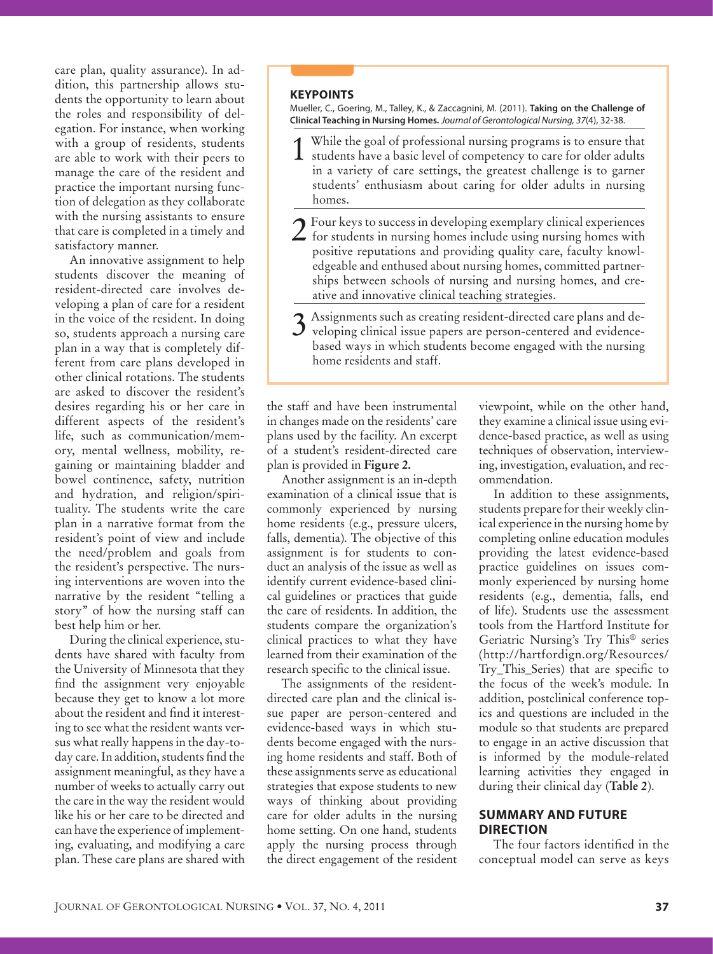care plan, quality assurance). In addition, this partnership allows students the opportunity to learn about the roles and responsibility of delegation. For instance, when working with a group of residents, students are able to work with their peers to manage the care of the resident and practice the important nursing function of delegation as they collaborate with the nursing assistants to ensure that care is completed in a timely and satisfactory manner.

An innovative assignment to help students discover the meaning of resident-directed care involves developing a plan of care for a resident in the voice of the resident. In doing so, students approach a nursing care plan in a way that is completely different from care plans developed in other clinical rotations. The students are asked to discover the resident's desires regarding his or her care in different aspects of the resident's life, such as communication/memory, mental wellness, mobility, regaining or maintaining bladder and bowel continence, safety, nutrition and hydration, and religion/spirituality. The students write the care plan in a narrative format from the resident's point of view and include the need/problem and goals from the resident's perspective. The nursing interventions are woven into the narrative by the resident "telling a story" of how the nursing staff can best help him or her.

During the clinical experience, students have shared with faculty from the University of Minnesota that they find the assignment very enjoyable because they get to know a lot more about the resident and find it interesting to see what the resident wants versus what really happens in the day-today care. In addition, students find the assignment meaningful, as they have a number of weeks to actually carry out the care in the way the resident would like his or her care to be directed and can have the experience of implementing, evaluating, and modifying a care plan. These care plans are shared with

#### **keypoints**

Mueller, C., Goering, M., Talley, K., & Zaccagnini, M. (2011). **Taking on the Challenge of Clinical Teaching in Nursing Homes.** *Journal of Gerontological Nursing, 37*(4), 32-38.

- 1 While the goal of professional nursing programs is to ensure that students have a basic level of competency to care for older adults in a variety of care settings, the greatest challenge is to garner students' enthusiasm about caring for older adults in nursing homes.
- 2 Four keys to success in developing exemplary clinical experiences for students in nursing homes include using nursing homes with positive reputations and providing quality care, faculty knowledgeable and enthused about nursing homes, committed partnerships between schools of nursing and nursing homes, and creative and innovative clinical teaching strategies.
- 3 Assignments such as creating resident-directed care plans and de-veloping clinical issue papers are person-centered and evidencebased ways in which students become engaged with the nursing home residents and staff.

the staff and have been instrumental in changes made on the residents' care plans used by the facility. An excerpt of a student's resident-directed care plan is provided in **Figure 2.**

Another assignment is an in-depth examination of a clinical issue that is commonly experienced by nursing home residents (e.g., pressure ulcers, falls, dementia). The objective of this assignment is for students to conduct an analysis of the issue as well as identify current evidence-based clinical guidelines or practices that guide the care of residents. In addition, the students compare the organization's clinical practices to what they have learned from their examination of the research specific to the clinical issue.

The assignments of the residentdirected care plan and the clinical issue paper are person-centered and evidence-based ways in which students become engaged with the nursing home residents and staff. Both of these assignments serve as educational strategies that expose students to new ways of thinking about providing care for older adults in the nursing home setting. On one hand, students apply the nursing process through the direct engagement of the resident

viewpoint, while on the other hand, they examine a clinical issue using evidence-based practice, as well as using techniques of observation, interviewing, investigation, evaluation, and recommendation.

In addition to these assignments, students prepare for their weekly clinical experience in the nursing home by completing online education modules providing the latest evidence-based practice guidelines on issues commonly experienced by nursing home residents (e.g., dementia, falls, end of life). Students use the assessment tools from the Hartford Institute for Geriatric Nursing's Try This® series (http://hartfordign.org/Resources/ Try\_This\_Series) that are specific to the focus of the week's module. In addition, postclinical conference topics and questions are included in the module so that students are prepared to engage in an active discussion that is informed by the module-related learning activities they engaged in during their clinical day (**Table 2**).

# **Summary and Future Direction**

The four factors identified in the conceptual model can serve as keys